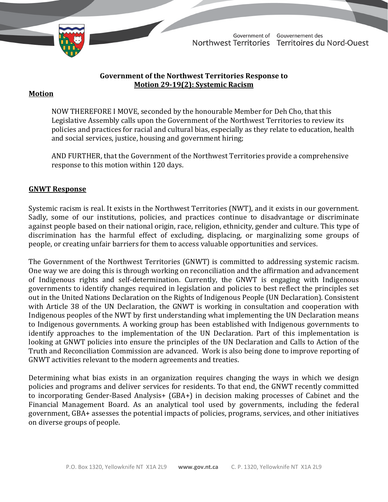

TD 442-19(2) TABLED ON NOVEMBER 22, 2021

Government of Gouvernement des Northwest Territories Territoires du Nord-Ouest

### **Government of the Northwest Territories Response to Motion 29-19(2): Systemic Racism**

### **Motion**

NOW THEREFORE I MOVE, seconded by the honourable Member for Deh Cho, that this Legislative Assembly calls upon the Government of the Northwest Territories to review its policies and practices for racial and cultural bias, especially as they relate to education, health and social services, justice, housing and government hiring;

AND FURTHER, that the Government of the Northwest Territories provide a comprehensive response to this motion within 120 days.

#### **GNWT Response**

Systemic racism is real. It exists in the Northwest Territories (NWT), and it exists in our government. Sadly, some of our institutions, policies, and practices continue to disadvantage or discriminate against people based on their national origin, race, religion, ethnicity, gender and culture. This type of discrimination has the harmful effect of excluding, displacing, or marginalizing some groups of people, or creating unfair barriers for them to access valuable opportunities and services.

The Government of the Northwest Territories (GNWT) is committed to addressing systemic racism. One way we are doing this is through working on reconciliation and the affirmation and advancement of Indigenous rights and self-determination. Currently, the GNWT is engaging with Indigenous governments to identify changes required in legislation and policies to best reflect the principles set out in the United Nations Declaration on the Rights of Indigenous People (UN Declaration). Consistent with Article 38 of the UN Declaration, the GNWT is working in consultation and cooperation with Indigenous peoples of the NWT by first understanding what implementing the UN Declaration means to Indigenous governments. A working group has been established with Indigenous governments to identify approaches to the implementation of the UN Declaration. Part of this implementation is looking at GNWT policies into ensure the principles of the UN Declaration and Calls to Action of the Truth and Reconciliation Commission are advanced. Work is also being done to improve reporting of GNWT activities relevant to the modern agreements and treaties.

Determining what bias exists in an organization requires changing the ways in which we design policies and programs and deliver services for residents. To that end, the GNWT recently committed to incorporating Gender-Based Analysis+ (GBA+) in decision making processes of Cabinet and the Financial Management Board. As an analytical tool used by governments, including the federal government, GBA+ assesses the potential impacts of policies, programs, services, and other initiatives on diverse groups of people.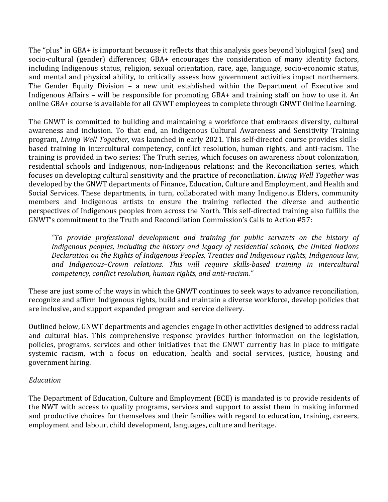The "plus" in GBA+ is important because it reflects that this analysis goes beyond biological (sex) and socio-cultural (gender) differences; GBA+ encourages the consideration of many identity factors, including Indigenous status, religion, sexual orientation, race, age, language, socio-economic status, and mental and physical ability, to critically assess how government activities impact northerners. The Gender Equity Division – a new unit established within the Department of Executive and Indigenous Affairs – will be responsible for promoting GBA+ and training staff on how to use it. An online GBA+ course is available for all GNWT employees to complete through GNWT Online Learning.

The GNWT is committed to building and maintaining a workforce that embraces diversity, cultural awareness and inclusion. To that end, an Indigenous Cultural Awareness and Sensitivity Training program, *Living Well Together,* was launched in early 2021. This self-directed course provides skillsbased training in intercultural competency, conflict resolution, human rights, and anti-racism. The training is provided in two series: The Truth series, which focuses on awareness about colonization, residential schools and Indigenous, non-Indigenous relations; and the Reconciliation series, which focuses on developing cultural sensitivity and the practice of reconciliation. *Living Well Together* was developed by the GNWT departments of Finance, Education, Culture and Employment, and Health and Social Services. These departments, in turn, collaborated with many Indigenous Elders, community members and Indigenous artists to ensure the training reflected the diverse and authentic perspectives of Indigenous peoples from across the North. This self-directed training also fulfills the GNWT's commitment to the Truth and Reconciliation Commission's Calls to Action #57:

*"To provide professional development and training for public servants on the history of Indigenous peoples, including the history and legacy of residential schools, the United Nations Declaration on the Rights of Indigenous Peoples, Treaties and Indigenous rights, Indigenous law, and Indigenous–Crown relations. This will require skills-based training in intercultural competency, conflict resolution, human rights, and anti-racism."*

These are just some of the ways in which the GNWT continues to seek ways to advance reconciliation, recognize and affirm Indigenous rights, build and maintain a diverse workforce, develop policies that are inclusive, and support expanded program and service delivery.

Outlined below, GNWT departments and agencies engage in other activities designed to address racial and cultural bias. This comprehensive response provides further information on the legislation, policies, programs, services and other initiatives that the GNWT currently has in place to mitigate systemic racism, with a focus on education, health and social services, justice, housing and government hiring.

#### *Education*

The Department of Education, Culture and Employment (ECE) is mandated is to provide residents of the NWT with access to quality programs, services and support to assist them in making informed and productive choices for themselves and their families with regard to education, training, careers, employment and labour, child development, languages, culture and heritage.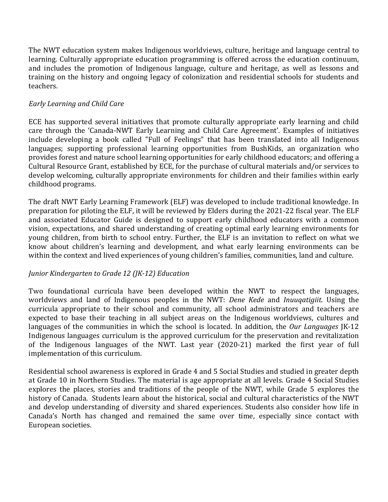The NWT education system makes Indigenous worldviews, culture, heritage and language central to learning. Culturally appropriate education programming is offered across the education continuum, and includes the promotion of Indigenous language, culture and heritage, as well as lessons and training on the history and ongoing legacy of colonization and residential schools for students and teachers.

# *Early Learning and Child Care*

ECE has supported several initiatives that promote culturally appropriate early learning and child care through the 'Canada-NWT Early Learning and Child Care Agreement'. Examples of initiatives include developing a book called "Full of Feelings" that has been translated into all Indigenous languages; supporting professional learning opportunities from BushKids, an organization who provides forest and nature school learning opportunities for early childhood educators; and offering a Cultural Resource Grant, established by ECE, for the purchase of cultural materials and/or services to develop welcoming, culturally appropriate environments for children and their families within early childhood programs.

The draft NWT Early Learning Framework (ELF) was developed to include traditional knowledge. In preparation for piloting the ELF, it will be reviewed by Elders during the 2021-22 fiscal year. The ELF and associated Educator Guide is designed to support early childhood educators with a common vision, expectations, and shared understanding of creating optimal early learning environments for young children, from birth to school entry. Further, the ELF is an invitation to reflect on what we know about children's learning and development, and what early learning environments can be within the context and lived experiences of young children's families, communities, land and culture.

# *Junior Kindergarten to Grade 12 (JK-12) Education*

Two foundational curricula have been developed within the NWT to respect the languages, worldviews and land of Indigenous peoples in the NWT: *Dene Kede* and *Inuuqatigiit*. Using the curricula appropriate to their school and community, all school administrators and teachers are expected to base their teaching in all subject areas on the Indigenous worldviews, cultures and languages of the communities in which the school is located. In addition, the *Our Languages* JK-12 Indigenous languages curriculum is the approved curriculum for the preservation and revitalization of the Indigenous languages of the NWT. Last year (2020-21) marked the first year of full implementation of this curriculum.

Residential school awareness is explored in Grade 4 and 5 Social Studies and studied in greater depth at Grade 10 in Northern Studies. The material is age appropriate at all levels. Grade 4 Social Studies explores the places, stories and traditions of the people of the NWT, while Grade 5 explores the history of Canada. Students learn about the historical, social and cultural characteristics of the NWT and develop understanding of diversity and shared experiences. Students also consider how life in Canada's North has changed and remained the same over time, especially since contact with European societies.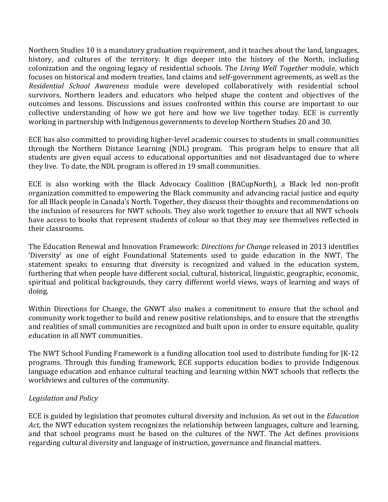Northern Studies 10 is a mandatory graduation requirement, and it teaches about the land, languages, history, and cultures of the territory. It digs deeper into the history of the North, including colonization and the ongoing legacy of residential schools. The *Living Well Together* module, which focuses on historical and modern treaties, land claims and self-government agreements, as well as the *Residential School Awareness* module were developed collaboratively with residential school survivors, Northern leaders and educators who helped shape the content and objectives of the outcomes and lessons. Discussions and issues confronted within this course are important to our collective understanding of how we got here and how we live together today. ECE is currently working in partnership with Indigenous governments to develop Northern Studies 20 and 30.

ECE has also committed to providing higher-level academic courses to students in small communities through the Northern Distance Learning (NDL) program. This program helps to ensure that all students are given equal access to educational opportunities and not disadvantaged due to where they live. To date, the NDL program is offered in 19 small communities.

ECE is also working with the Black Advocacy Coalition (BACupNorth), a Black led non-profit organization committed to empowering the Black community and advancing racial justice and equity for all Black people in Canada's North. Together, they discuss their thoughts and recommendations on the inclusion of resources for NWT schools. They also work together to ensure that all NWT schools have access to books that represent students of colour so that they may see themselves reflected in their classrooms.

The Education Renewal and Innovation Framework: *Directions for Change* released in 2013 identifies 'Diversity' as one of eight Foundational Statements used to guide education in the NWT. The statement speaks to ensuring that diversity is recognized and valued in the education system, furthering that when people have different social, cultural, historical, linguistic, geographic, economic, spiritual and political backgrounds, they carry different world views, ways of learning and ways of doing.

Within Directions for Change, the GNWT also makes a commitment to ensure that the school and community work together to build and renew positive relationships, and to ensure that the strengths and realities of small communities are recognized and built upon in order to ensure equitable, quality education in all NWT communities.

The NWT School Funding Framework is a funding allocation tool used to distribute funding for JK-12 programs. Through this funding framework, ECE supports education bodies to provide Indigenous language education and enhance cultural teaching and learning within NWT schools that reflects the worldviews and cultures of the community.

# *Legislation and Policy*

ECE is guided by legislation that promotes cultural diversity and inclusion. As set out in the *Education Act*, the NWT education system recognizes the relationship between languages, culture and learning, and that school programs must be based on the cultures of the NWT. The Act defines provisions regarding cultural diversity and language of instruction, governance and financial matters.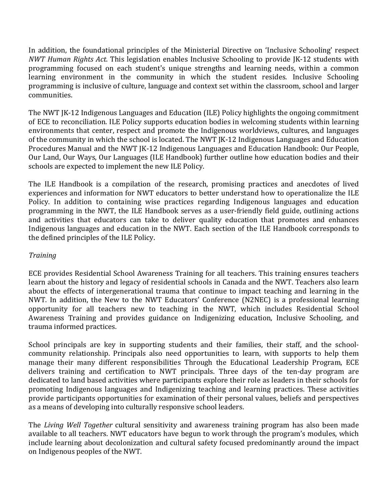In addition, the foundational principles of the Ministerial Directive on 'Inclusive Schooling' respect *NWT Human Rights Act*. This legislation enables Inclusive Schooling to provide JK-12 students with programming focused on each student's unique strengths and learning needs, within a common learning environment in the community in which the student resides. Inclusive Schooling programming is inclusive of culture, language and context set within the classroom, school and larger communities.

The NWT JK-12 Indigenous Languages and Education (ILE) Policy highlights the ongoing commitment of ECE to reconciliation. ILE Policy supports education bodies in welcoming students within learning environments that center, respect and promote the Indigenous worldviews, cultures, and languages of the community in which the school is located. The NWT JK-12 Indigenous Languages and Education Procedures Manual and the NWT JK-12 Indigenous Languages and Education Handbook: Our People, Our Land, Our Ways, Our Languages (ILE Handbook) further outline how education bodies and their schools are expected to implement the new ILE Policy.

The ILE Handbook is a compilation of the research, promising practices and anecdotes of lived experiences and information for NWT educators to better understand how to operationalize the ILE Policy. In addition to containing wise practices regarding Indigenous languages and education programming in the NWT, the ILE Handbook serves as a user-friendly field guide, outlining actions and activities that educators can take to deliver quality education that promotes and enhances Indigenous languages and education in the NWT. Each section of the ILE Handbook corresponds to the defined principles of the ILE Policy.

# *Training*

ECE provides Residential School Awareness Training for all teachers. This training ensures teachers learn about the history and legacy of residential schools in Canada and the NWT. Teachers also learn about the effects of intergenerational trauma that continue to impact teaching and learning in the NWT. In addition, the New to the NWT Educators' Conference (N2NEC) is a professional learning opportunity for all teachers new to teaching in the NWT, which includes Residential School Awareness Training and provides guidance on Indigenizing education, Inclusive Schooling, and trauma informed practices.

School principals are key in supporting students and their families, their staff, and the schoolcommunity relationship. Principals also need opportunities to learn, with supports to help them manage their many different responsibilities Through the Educational Leadership Program, ECE delivers training and certification to NWT principals. Three days of the ten-day program are dedicated to land based activities where participants explore their role as leaders in their schools for promoting Indigenous languages and Indigenizing teaching and learning practices. These activities provide participants opportunities for examination of their personal values, beliefs and perspectives as a means of developing into culturally responsive school leaders.

The *Living Well Together* cultural sensitivity and awareness training program has also been made available to all teachers. NWT educators have begun to work through the program's modules, which include learning about decolonization and cultural safety focused predominantly around the impact on Indigenous peoples of the NWT.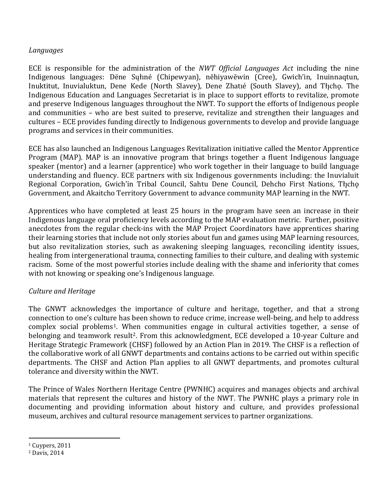#### *Languages*

ECE is responsible for the administration of the *NWT Official Languages Act* including the nine Indigenous languages: Dëne Sųłıné (Chipewyan), nēhiyawēwin (Cree), Gwich'in, Inuinnaqtun, Inuktitut, Inuvialuktun, Dene Kede (North Slavey), Dene Zhatıé (South Slavey), and Tłı̨chǫ. The Indigenous Education and Languages Secretariat is in place to support efforts to revitalize, promote and preserve Indigenous languages throughout the NWT. To support the efforts of Indigenous people and communities – who are best suited to preserve, revitalize and strengthen their languages and cultures – ECE provides funding directly to Indigenous governments to develop and provide language programs and services in their communities.

ECE has also launched an Indigenous Languages Revitalization initiative called the Mentor Apprentice Program (MAP). MAP is an innovative program that brings together a fluent Indigenous language speaker (mentor) and a learner (apprentice) who work together in their language to build language understanding and fluency. ECE partners with six Indigenous governments including: the Inuvialuit Regional Corporation, Gwich'in Tribal Council, Sahtu Dene Council, Dehcho First Nations, Tłįcho Government, and Akaitcho Territory Government to advance community MAP learning in the NWT.

Apprentices who have completed at least 25 hours in the program have seen an increase in their Indigenous language oral proficiency levels according to the MAP evaluation metric. Further, positive anecdotes from the regular check-ins with the MAP Project Coordinators have apprentices sharing their learning stories that include not only stories about fun and games using MAP learning resources, but also revitalization stories, such as awakening sleeping languages, reconciling identity issues, healing from intergenerational trauma, connecting families to their culture, and dealing with systemic racism. Some of the most powerful stories include dealing with the shame and inferiority that comes with not knowing or speaking one's Indigenous language.

#### *Culture and Heritage*

The GNWT acknowledges the importance of culture and heritage, together, and that a strong connection to one's culture has been shown to reduce crime, increase well-being, and help to address complex social problems[1.](#page-5-0) When communities engage in cultural activities together, a sense of belonging and teamwork result<sup>[2](#page-5-1)</sup>. From this acknowledgment, ECE developed a 10-year Culture and Heritage Strategic Framework (CHSF) followed by an Action Plan in 2019. The CHSF is a reflection of the collaborative work of all GNWT departments and contains actions to be carried out within specific departments. The CHSF and Action Plan applies to all GNWT departments, and promotes cultural tolerance and diversity within the NWT.

The Prince of Wales Northern Heritage Centre (PWNHC) acquires and manages objects and archival materials that represent the cultures and history of the NWT. The PWNHC plays a primary role in documenting and providing information about history and culture, and provides professional museum, archives and cultural resource management services to partner organizations.

<span id="page-5-0"></span><sup>1</sup> Cuypers, 2011

<span id="page-5-1"></span><sup>2</sup> Davis, 2014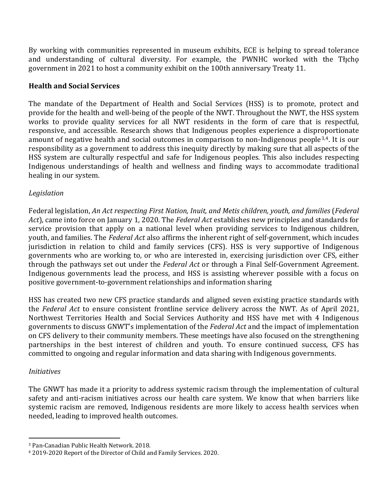By working with communities represented in museum exhibits, ECE is helping to spread tolerance and understanding of cultural diversity. For example, the PWNHC worked with the Tłicho government in 2021 to host a community exhibit on the 100th anniversary Treaty 11.

### **Health and Social Services**

The mandate of the Department of Health and Social Services (HSS) is to promote, protect and provide for the health and well-being of the people of the NWT. Throughout the NWT, the HSS system works to provide quality services for all NWT residents in the form of care that is respectful, responsive, and accessible. Research shows that Indigenous peoples experience a disproportionate amount of negative health and social outcomes in comparison to non-Indigenous people[3,](#page-6-0)[4.](#page-6-1) It is our responsibility as a government to address this inequity directly by making sure that all aspects of the HSS system are culturally respectful and safe for Indigenous peoples. This also includes respecting Indigenous understandings of health and wellness and finding ways to accommodate traditional healing in our system.

### *Legislation*

Federal legislation, *An Act respecting First Nation, Inuit, and Metis children, youth, and families* (*Federal Act*), came into force on January 1, 2020. The *Federal Act* establishes new principles and standards for service provision that apply on a national level when providing services to Indigenous children, youth, and families. The *Federal Act* also affirms the inherent right of self-government, which incudes jurisdiction in relation to child and family services (CFS). HSS is very supportive of Indigenous governments who are working to, or who are interested in, exercising jurisdiction over CFS, either through the pathways set out under the *Federal Act* or through a Final Self-Government Agreement. Indigenous governments lead the process, and HSS is assisting wherever possible with a focus on positive government-to-government relationships and information sharing

HSS has created two new CFS practice standards and aligned seven existing practice standards with the *Federal Act* to ensure consistent frontline service delivery across the NWT. As of April 2021, Northwest Territories Health and Social Services Authority and HSS have met with 4 Indigenous governments to discuss GNWT's implementation of the *Federal Act* and the impact of implementation on CFS delivery to their community members. These meetings have also focused on the strengthening partnerships in the best interest of children and youth. To ensure continued success, CFS has committed to ongoing and regular information and data sharing with Indigenous governments.

#### *Initiatives*

The GNWT has made it a priority to address systemic racism through the implementation of cultural safety and anti-racism initiatives across our health care system. We know that when barriers like systemic racism are removed, Indigenous residents are more likely to access health services when needed, leading to improved health outcomes.

<span id="page-6-0"></span><sup>3</sup> Pan-Canadian Public Health Network. 2018.

<span id="page-6-1"></span><sup>4</sup> 2019-2020 Report of the Director of Child and Family Services. 2020.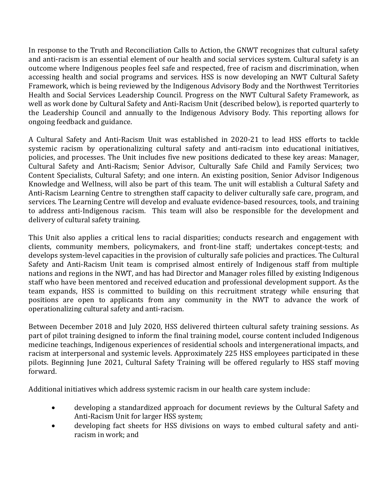In response to the Truth and Reconciliation Calls to Action, the GNWT recognizes that cultural safety and anti-racism is an essential element of our health and social services system. Cultural safety is an outcome where Indigenous peoples feel safe and respected, free of racism and discrimination, when accessing health and social programs and services. HSS is now developing an NWT Cultural Safety Framework, which is being reviewed by the Indigenous Advisory Body and the Northwest Territories Health and Social Services Leadership Council. Progress on the NWT Cultural Safety Framework, as well as work done by Cultural Safety and Anti-Racism Unit (described below), is reported quarterly to the Leadership Council and annually to the Indigenous Advisory Body. This reporting allows for ongoing feedback and guidance.

A Cultural Safety and Anti-Racism Unit was established in 2020-21 to lead HSS efforts to tackle systemic racism by operationalizing cultural safety and anti-racism into educational initiatives, policies, and processes. The Unit includes five new positions dedicated to these key areas: Manager, Cultural Safety and Anti-Racism; Senior Advisor, Culturally Safe Child and Family Services; two Content Specialists, Cultural Safety; and one intern. An existing position, Senior Advisor Indigenous Knowledge and Wellness, will also be part of this team. The unit will establish a Cultural Safety and Anti-Racism Learning Centre to strengthen staff capacity to deliver culturally safe care, program, and services. The Learning Centre will develop and evaluate evidence-based resources, tools, and training to address anti-Indigenous racism. This team will also be responsible for the development and delivery of cultural safety training.

This Unit also applies a critical lens to racial disparities; conducts research and engagement with clients, community members, policymakers, and front-line staff; undertakes concept-tests; and develops system-level capacities in the provision of culturally safe policies and practices. The Cultural Safety and Anti-Racism Unit team is comprised almost entirely of Indigenous staff from multiple nations and regions in the NWT, and has had Director and Manager roles filled by existing Indigenous staff who have been mentored and received education and professional development support. As the team expands, HSS is committed to building on this recruitment strategy while ensuring that positions are open to applicants from any community in the NWT to advance the work of operationalizing cultural safety and anti-racism.

Between December 2018 and July 2020, HSS delivered thirteen cultural safety training sessions. As part of pilot training designed to inform the final training model, course content included Indigenous medicine teachings, Indigenous experiences of residential schools and intergenerational impacts, and racism at interpersonal and systemic levels. Approximately 225 HSS employees participated in these pilots. Beginning June 2021, Cultural Safety Training will be offered regularly to HSS staff moving forward.

Additional initiatives which address systemic racism in our health care system include:

- developing a standardized approach for document reviews by the Cultural Safety and Anti-Racism Unit for larger HSS system;
- developing fact sheets for HSS divisions on ways to embed cultural safety and antiracism in work; and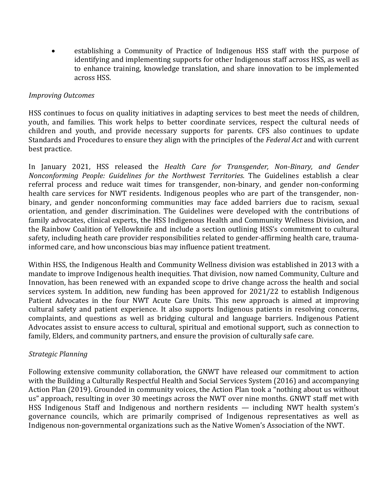• establishing a Community of Practice of Indigenous HSS staff with the purpose of identifying and implementing supports for other Indigenous staff across HSS, as well as to enhance training, knowledge translation, and share innovation to be implemented across HSS.

#### *Improving Outcomes*

HSS continues to focus on quality initiatives in adapting services to best meet the needs of children, youth, and families. This work helps to better coordinate services, respect the cultural needs of children and youth, and provide necessary supports for parents. CFS also continues to update Standards and Procedures to ensure they align with the principles of the *Federal Act* and with current best practice.

In January 2021, HSS released the *Health Care for Transgender, Non-Binary, and Gender Nonconforming People: Guidelines for the Northwest Territories*. The Guidelines establish a clear referral process and reduce wait times for transgender, non-binary, and gender non-conforming health care services for NWT residents. Indigenous peoples who are part of the transgender, nonbinary, and gender nonconforming communities may face added barriers due to racism, sexual orientation, and gender discrimination. The Guidelines were developed with the contributions of family advocates, clinical experts, the HSS Indigenous Health and Community Wellness Division, and the Rainbow Coalition of Yellowknife and include a section outlining HSS's commitment to cultural safety, including heath care provider responsibilities related to gender-affirming health care, traumainformed care, and how unconscious bias may influence patient treatment.

Within HSS, the Indigenous Health and Community Wellness division was established in 2013 with a mandate to improve Indigenous health inequities. That division, now named Community, Culture and Innovation, has been renewed with an expanded scope to drive change across the health and social services system. In addition, new funding has been approved for 2021/22 to establish Indigenous Patient Advocates in the four NWT Acute Care Units. This new approach is aimed at improving cultural safety and patient experience. It also supports Indigenous patients in resolving concerns, complaints, and questions as well as bridging cultural and language barriers. Indigenous Patient Advocates assist to ensure access to cultural, spiritual and emotional support, such as connection to family, Elders, and community partners, and ensure the provision of culturally safe care.

#### *Strategic Planning*

Following extensive community collaboration, the GNWT have released our commitment to action with the Building a Culturally Respectful Health and Social Services System (2016) and accompanying Action Plan (2019). Grounded in community voices, the Action Plan took a "nothing about us without us" approach, resulting in over 30 meetings across the NWT over nine months. GNWT staff met with HSS Indigenous Staff and Indigenous and northern residents — including NWT health system's governance councils, which are primarily comprised of Indigenous representatives as well as Indigenous non-governmental organizations such as the Native Women's Association of the NWT.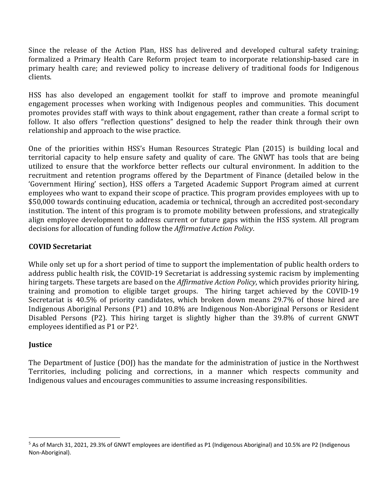Since the release of the Action Plan, HSS has delivered and developed cultural safety training; formalized a Primary Health Care Reform project team to incorporate relationship-based care in primary health care; and reviewed policy to increase delivery of traditional foods for Indigenous clients.

HSS has also developed an engagement toolkit for staff to improve and promote meaningful engagement processes when working with Indigenous peoples and communities. This document promotes provides staff with ways to think about engagement, rather than create a formal script to follow. It also offers "reflection questions" designed to help the reader think through their own relationship and approach to the wise practice.

One of the priorities within HSS's Human Resources Strategic Plan (2015) is building local and territorial capacity to help ensure safety and quality of care. The GNWT has tools that are being utilized to ensure that the workforce better reflects our cultural environment. In addition to the recruitment and retention programs offered by the Department of Finance (detailed below in the 'Government Hiring' section), HSS offers a Targeted Academic Support Program aimed at current employees who want to expand their scope of practice. This program provides employees with up to \$50,000 towards continuing education, academia or technical, through an accredited post-secondary institution. The intent of this program is to promote mobility between professions, and strategically align employee development to address current or future gaps within the HSS system. All program decisions for allocation of funding follow the *Affirmative Action Policy*.

### **COVID Secretariat**

While only set up for a short period of time to support the implementation of public health orders to address public health risk, the COVID-19 Secretariat is addressing systemic racism by implementing hiring targets. These targets are based on the *Affirmative Action Policy*, which provides priority hiring, training and promotion to eligible target groups. The hiring target achieved by the COVID-19 Secretariat is 40.5% of priority candidates, which broken down means 29.7% of those hired are Indigenous Aboriginal Persons (P1) and 10.8% are Indigenous Non-Aboriginal Persons or Resident Disabled Persons (P2). This hiring target is slightly higher than the 39.8% of current GNWT employees identified as P1 or P2[5](#page-9-0) .

#### **Justice**

The Department of Justice (DOJ) has the mandate for the administration of justice in the Northwest Territories, including policing and corrections, in a manner which respects community and Indigenous values and encourages communities to assume increasing responsibilities.

<span id="page-9-0"></span><sup>5</sup> As of March 31, 2021, 29.3% of GNWT employees are identified as P1 (Indigenous Aboriginal) and 10.5% are P2 (Indigenous Non-Aboriginal).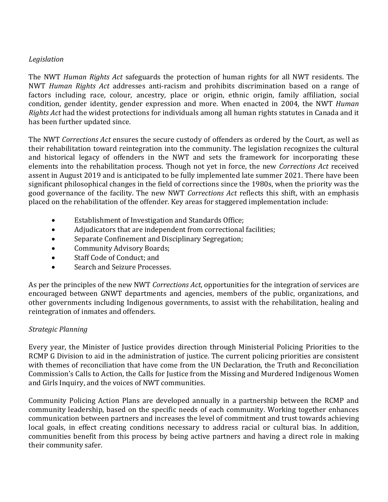### *Legislation*

The NWT *Human Rights Act* safeguards the protection of human rights for all NWT residents. The NWT *Human Rights Act* addresses anti-racism and prohibits discrimination based on a range of factors including race, colour, ancestry, place or origin, ethnic origin, family affiliation, social condition, gender identity, gender expression and more. When enacted in 2004, the NWT *Human Rights Act* had the widest protections for individuals among all human rights statutes in Canada and it has been further updated since.

The NWT *Corrections Act* ensures the secure custody of offenders as ordered by the Court, as well as their rehabilitation toward reintegration into the community. The legislation recognizes the cultural and historical legacy of offenders in the NWT and sets the framework for incorporating these elements into the rehabilitation process. Though not yet in force, the new *Corrections Act* received assent in August 2019 and is anticipated to be fully implemented late summer 2021. There have been significant philosophical changes in the field of corrections since the 1980s, when the priority was the good governance of the facility. The new NWT *Corrections Act* reflects this shift, with an emphasis placed on the rehabilitation of the offender. Key areas for staggered implementation include:

- Establishment of Investigation and Standards Office;
- Adjudicators that are independent from correctional facilities;
- Separate Confinement and Disciplinary Segregation;
- Community Advisory Boards;
- Staff Code of Conduct; and
- Search and Seizure Processes.

As per the principles of the new NWT *Corrections Act*, opportunities for the integration of services are encouraged between GNWT departments and agencies, members of the public, organizations, and other governments including Indigenous governments, to assist with the rehabilitation, healing and reintegration of inmates and offenders.

# *Strategic Planning*

Every year, the Minister of Justice provides direction through Ministerial Policing Priorities to the RCMP G Division to aid in the administration of justice. The current policing priorities are consistent with themes of reconciliation that have come from the UN Declaration, the Truth and Reconciliation Commission's Calls to Action, the Calls for Justice from the Missing and Murdered Indigenous Women and Girls Inquiry, and the voices of NWT communities.

Community Policing Action Plans are developed annually in a partnership between the RCMP and community leadership, based on the specific needs of each community. Working together enhances communication between partners and increases the level of commitment and trust towards achieving local goals, in effect creating conditions necessary to address racial or cultural bias. In addition, communities benefit from this process by being active partners and having a direct role in making their community safer.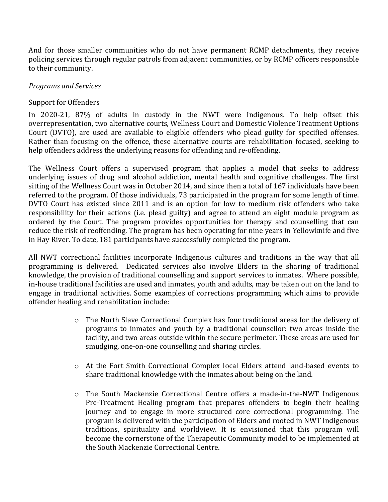And for those smaller communities who do not have permanent RCMP detachments, they receive policing services through regular patrols from adjacent communities, or by RCMP officers responsible to their community.

### *Programs and Services*

### Support for Offenders

In 2020-21, 87% of adults in custody in the NWT were Indigenous. To help offset this overrepresentation, two alternative courts, Wellness Court and Domestic Violence Treatment Options Court (DVTO), are used are available to eligible offenders who plead guilty for specified offenses. Rather than focusing on the offence, these alternative courts are rehabilitation focused, seeking to help offenders address the underlying reasons for offending and re-offending.

The Wellness Court offers a supervised program that applies a model that seeks to address underlying issues of drug and alcohol addiction, mental health and cognitive challenges. The first sitting of the Wellness Court was in October 2014, and since then a total of 167 individuals have been referred to the program. Of those individuals, 73 participated in the program for some length of time. DVTO Court has existed since 2011 and is an option for low to medium risk offenders who take responsibility for their actions (i.e. plead guilty) and agree to attend an eight module program as ordered by the Court. The program provides opportunities for therapy and counselling that can reduce the risk of reoffending. The program has been operating for nine years in Yellowknife and five in Hay River. To date, 181 participants have successfully completed the program.

All NWT correctional facilities incorporate Indigenous cultures and traditions in the way that all programming is delivered. Dedicated services also involve Elders in the sharing of traditional knowledge, the provision of traditional counselling and support services to inmates. Where possible, in-house traditional facilities are used and inmates, youth and adults, may be taken out on the land to engage in traditional activities. Some examples of corrections programming which aims to provide offender healing and rehabilitation include:

- o The North Slave Correctional Complex has four traditional areas for the delivery of programs to inmates and youth by a traditional counsellor: two areas inside the facility, and two areas outside within the secure perimeter. These areas are used for smudging, one-on-one counselling and sharing circles.
- o At the Fort Smith Correctional Complex local Elders attend land-based events to share traditional knowledge with the inmates about being on the land.
- o The South Mackenzie Correctional Centre offers a made-in-the-NWT Indigenous Pre-Treatment Healing program that prepares offenders to begin their healing journey and to engage in more structured core correctional programming. The program is delivered with the participation of Elders and rooted in NWT Indigenous traditions, spirituality and worldview. It is envisioned that this program will become the cornerstone of the Therapeutic Community model to be implemented at the South Mackenzie Correctional Centre.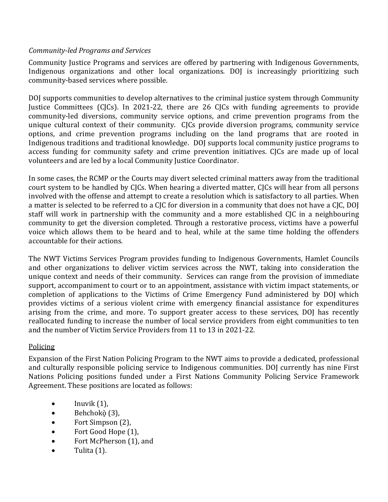### *Community-led Programs and Services*

Community Justice Programs and services are offered by partnering with Indigenous Governments, Indigenous organizations and other local organizations. DOJ is increasingly prioritizing such community-based services where possible.

DOJ supports communities to develop alternatives to the criminal justice system through Community Justice Committees (CJCs). In 2021-22, there are 26 CJCs with funding agreements to provide community-led diversions, community service options, and crime prevention programs from the unique cultural context of their community. CJCs provide diversion programs, community service options, and crime prevention programs including on the land programs that are rooted in Indigenous traditions and traditional knowledge. DOJ supports local community justice programs to access funding for community safety and crime prevention initiatives. CJCs are made up of local volunteers and are led by a local Community Justice Coordinator.

In some cases, the RCMP or the Courts may divert selected criminal matters away from the traditional court system to be handled by CJCs. When hearing a diverted matter, CJCs will hear from all persons involved with the offense and attempt to create a resolution which is satisfactory to all parties. When a matter is selected to be referred to a CJC for diversion in a community that does not have a CJC, DOJ staff will work in partnership with the community and a more established CJC in a neighbouring community to get the diversion completed. Through a restorative process, victims have a powerful voice which allows them to be heard and to heal, while at the same time holding the offenders accountable for their actions.

The NWT Victims Services Program provides funding to Indigenous Governments, Hamlet Councils and other organizations to deliver victim services across the NWT, taking into consideration the unique context and needs of their community. Services can range from the provision of immediate support, accompaniment to court or to an appointment, assistance with victim impact statements, or completion of applications to the Victims of Crime Emergency Fund administered by DOJ which provides victims of a serious violent crime with emergency financial assistance for expenditures arising from the crime, and more. To support greater access to these services, DOJ has recently reallocated funding to increase the number of local service providers from eight communities to ten and the number of Victim Service Providers from 11 to 13 in 2021-22.

# Policing

Expansion of the First Nation Policing Program to the NWT aims to provide a dedicated, professional and culturally responsible policing service to Indigenous communities. DOJ currently has nine First Nations Policing positions funded under a First Nations Community Policing Service Framework Agreement. These positions are located as follows:

- $\bullet$  Inuvik  $(1)$ ,
- $\bullet$  Behchokò $(3)$ ,
- Fort Simpson (2),
- Fort Good Hope (1),
- Fort McPherson (1), and
- Tulita (1).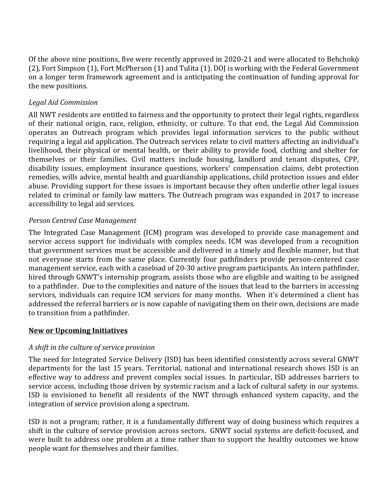Of the above nine positions, five were recently approved in 2020-21 and were allocated to Behchokò (2), Fort Simpson (1), Fort McPherson (1) and Tulita (1). DOJ is working with the Federal Government on a longer term framework agreement and is anticipating the continuation of funding approval for the new positions.

# *Legal Aid Commission*

All NWT residents are entitled to fairness and the opportunity to protect their legal rights, regardless of their national origin, race, religion, ethnicity, or culture. To that end, the Legal Aid Commission operates an Outreach program which provides legal information services to the public without requiring a legal aid application. The Outreach services relate to civil matters affecting an individual's livelihood, their physical or mental health, or their ability to provide food, clothing and shelter for themselves or their families. Civil matters include housing, landlord and tenant disputes, CPP, disability issues, employment insurance questions, workers' compensation claims, debt protection remedies, wills advice, mental health and guardianship applications, child protection issues and elder abuse. Providing support for these issues is important because they often underlie other legal issues related to criminal or family law matters. The Outreach program was expanded in 2017 to increase accessibility to legal aid services.

### *Person Centred Case Management*

The Integrated Case Management (ICM) program was developed to provide case management and service access support for individuals with complex needs. ICM was developed from a recognition that government services must be accessible and delivered in a timely and flexible manner, but that not everyone starts from the same place. Currently four pathfinders provide person-centered case management service, each with a caseload of 20-30 active program participants. An intern pathfinder, hired through GNWT's internship program, assists those who are eligible and waiting to be assigned to a pathfinder. Due to the complexities and nature of the issues that lead to the barriers in accessing services, individuals can require ICM services for many months. When it's determined a client has addressed the referral barriers or is now capable of navigating them on their own, decisions are made to transition from a pathfinder.

#### **New or Upcoming Initiatives**

# *A shift in the culture of service provision*

The need for Integrated Service Delivery (ISD) has been identified consistently across several GNWT departments for the last 15 years. Territorial, national and international research shows ISD is an effective way to address and prevent complex social issues. In particular, ISD addresses barriers to service access, including those driven by systemic racism and a lack of cultural safety in our systems. ISD is envisioned to benefit all residents of the NWT through enhanced system capacity, and the integration of service provision along a spectrum.

ISD is not a program; rather, it is a fundamentally different way of doing business which requires a shift in the culture of service provision across sectors. GNWT social systems are deficit-focused, and were built to address one problem at a time rather than to support the healthy outcomes we know people want for themselves and their families.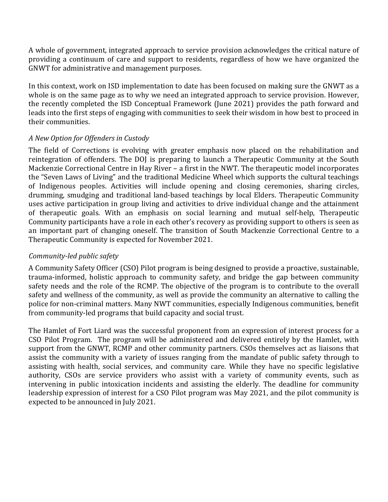A whole of government, integrated approach to service provision acknowledges the critical nature of providing a continuum of care and support to residents, regardless of how we have organized the GNWT for administrative and management purposes.

In this context, work on ISD implementation to date has been focused on making sure the GNWT as a whole is on the same page as to why we need an integrated approach to service provision. However, the recently completed the ISD Conceptual Framework (June 2021) provides the path forward and leads into the first steps of engaging with communities to seek their wisdom in how best to proceed in their communities.

# *A New Option for Offenders in Custody*

The field of Corrections is evolving with greater emphasis now placed on the rehabilitation and reintegration of offenders. The DOJ is preparing to launch a Therapeutic Community at the South Mackenzie Correctional Centre in Hay River – a first in the NWT. The therapeutic model incorporates the "Seven Laws of Living" and the traditional Medicine Wheel which supports the cultural teachings of Indigenous peoples. Activities will include opening and closing ceremonies, sharing circles, drumming, smudging and traditional land-based teachings by local Elders. Therapeutic Community uses active participation in group living and activities to drive individual change and the attainment of therapeutic goals. With an emphasis on social learning and mutual self-help, Therapeutic Community participants have a role in each other's recovery as providing support to others is seen as an important part of changing oneself. The transition of South Mackenzie Correctional Centre to a Therapeutic Community is expected for November 2021.

# *Community-led public safety*

A Community Safety Officer (CSO) Pilot program is being designed to provide a proactive, sustainable, trauma-informed, holistic approach to community safety, and bridge the gap between community safety needs and the role of the RCMP. The objective of the program is to contribute to the overall safety and wellness of the community, as well as provide the community an alternative to calling the police for non-criminal matters. Many NWT communities, especially Indigenous communities, benefit from community-led programs that build capacity and social trust.

The Hamlet of Fort Liard was the successful proponent from an expression of interest process for a CSO Pilot Program. The program will be administered and delivered entirely by the Hamlet, with support from the GNWT, RCMP and other community partners. CSOs themselves act as liaisons that assist the community with a variety of issues ranging from the mandate of public safety through to assisting with health, social services, and community care. While they have no specific legislative authority, CSOs are service providers who assist with a variety of community events, such as intervening in public intoxication incidents and assisting the elderly. The deadline for community leadership expression of interest for a CSO Pilot program was May 2021, and the pilot community is expected to be announced in July 2021.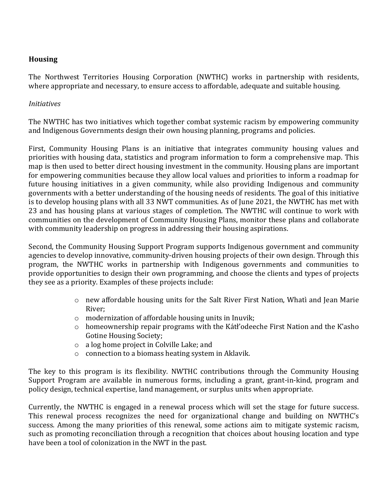# **Housing**

The Northwest Territories Housing Corporation (NWTHC) works in partnership with residents, where appropriate and necessary, to ensure access to affordable, adequate and suitable housing.

### *Initiatives*

The NWTHC has two initiatives which together combat systemic racism by empowering community and Indigenous Governments design their own housing planning, programs and policies.

First, Community Housing Plans is an initiative that integrates community housing values and priorities with housing data, statistics and program information to form a comprehensive map. This map is then used to better direct housing investment in the community. Housing plans are important for empowering communities because they allow local values and priorities to inform a roadmap for future housing initiatives in a given community, while also providing Indigenous and community governments with a better understanding of the housing needs of residents. The goal of this initiative is to develop housing plans with all 33 NWT communities. As of June 2021, the NWTHC has met with 23 and has housing plans at various stages of completion. The NWTHC will continue to work with communities on the development of Community Housing Plans, monitor these plans and collaborate with community leadership on progress in addressing their housing aspirations.

Second, the Community Housing Support Program supports Indigenous government and community agencies to develop innovative, community-driven housing projects of their own design. Through this program, the NWTHC works in partnership with Indigenous governments and communities to provide opportunities to design their own programming, and choose the clients and types of projects they see as a priority. Examples of these projects include:

- o new affordable housing units for the Salt River First Nation, Whatı̀and Jean Marie River;
- o modernization of affordable housing units in Inuvik;
- $\circ$  homeownership repair programs with the Kátł'odeeche First Nation and the K'asho Gotine Housing Society;
- o a log home project in Colville Lake; and
- o connection to a biomass heating system in Aklavik.

The key to this program is its flexibility. NWTHC contributions through the Community Housing Support Program are available in numerous forms, including a grant, grant-in-kind, program and policy design, technical expertise, land management, or surplus units when appropriate.

Currently, the NWTHC is engaged in a renewal process which will set the stage for future success. This renewal process recognizes the need for organizational change and building on NWTHC's success. Among the many priorities of this renewal, some actions aim to mitigate systemic racism, such as promoting reconciliation through a recognition that choices about housing location and type have been a tool of colonization in the NWT in the past.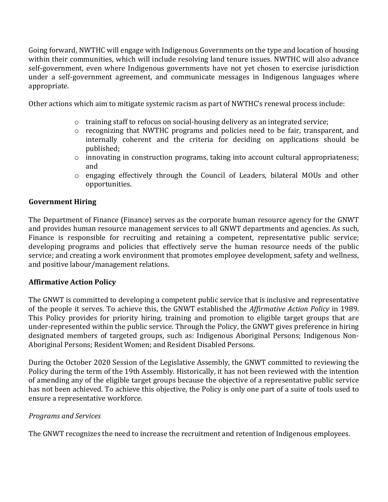Going forward, NWTHC will engage with Indigenous Governments on the type and location of housing within their communities, which will include resolving land tenure issues. NWTHC will also advance self-government, even where Indigenous governments have not yet chosen to exercise jurisdiction under a self-government agreement, and communicate messages in Indigenous languages where appropriate.

Other actions which aim to mitigate systemic racism as part of NWTHC's renewal process include:

- o training staff to refocus on social-housing delivery as an integrated service;
- o recognizing that NWTHC programs and policies need to be fair, transparent, and internally coherent and the criteria for deciding on applications should be published;
- $\circ$  innovating in construction programs, taking into account cultural appropriateness; and
- o engaging effectively through the Council of Leaders, bilateral MOUs and other opportunities.

### **Government Hiring**

The Department of Finance (Finance) serves as the corporate human resource agency for the GNWT and provides human resource management services to all GNWT departments and agencies. As such, Finance is responsible for recruiting and retaining a competent, representative public service; developing programs and policies that effectively serve the human resource needs of the public service; and creating a work environment that promotes employee development, safety and wellness, and positive labour/management relations.

#### **Affirmative Action Policy**

The GNWT is committed to developing a competent public service that is inclusive and representative of the people it serves. To achieve this, the GNWT established the *Affirmative Action Policy* in 1989. This Policy provides for priority hiring, training and promotion to eligible target groups that are under-represented within the public service. Through the Policy, the GNWT gives preference in hiring designated members of targeted groups, such as: Indigenous Aboriginal Persons; Indigenous Non-Aboriginal Persons; Resident Women; and Resident Disabled Persons.

During the October 2020 Session of the Legislative Assembly, the GNWT committed to reviewing the Policy during the term of the 19th Assembly. Historically, it has not been reviewed with the intention of amending any of the eligible target groups because the objective of a representative public service has not been achieved. To achieve this objective, the Policy is only one part of a suite of tools used to ensure a representative workforce.

#### *Programs and Services*

The GNWT recognizes the need to increase the recruitment and retention of Indigenous employees.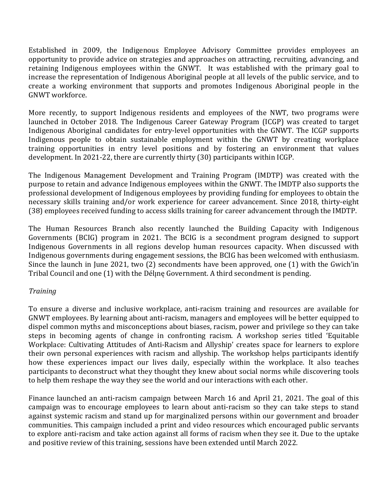Established in 2009, the Indigenous Employee Advisory Committee provides employees an opportunity to provide advice on strategies and approaches on attracting, recruiting, advancing, and retaining Indigenous employees within the GNWT. It was established with the primary goal to increase the representation of Indigenous Aboriginal people at all levels of the public service, and to create a working environment that supports and promotes Indigenous Aboriginal people in the GNWT workforce.

More recently, to support Indigenous residents and employees of the NWT, two programs were launched in October 2018. The Indigenous Career Gateway Program (ICGP) was created to target Indigenous Aboriginal candidates for entry-level opportunities with the GNWT. The ICGP supports Indigenous people to obtain sustainable employment within the GNWT by creating workplace training opportunities in entry level positions and by fostering an environment that values development. In 2021-22, there are currently thirty (30) participants within ICGP.

The Indigenous Management Development and Training Program (IMDTP) was created with the purpose to retain and advance Indigenous employees within the GNWT. The IMDTP also supports the professional development of Indigenous employees by providing funding for employees to obtain the necessary skills training and/or work experience for career advancement. Since 2018, thirty-eight (38) employees received funding to access skills training for career advancement through the IMDTP.

The Human Resources Branch also recently launched the Building Capacity with Indigenous Governments (BCIG) program in 2021. The BCIG is a secondment program designed to support Indigenous Governments in all regions develop human resources capacity. When discussed with Indigenous governments during engagement sessions, the BCIG has been welcomed with enthusiasm. Since the launch in June 2021, two (2) secondments have been approved, one (1) with the Gwich'in Tribal Council and one (1) with the Déline Government. A third secondment is pending.

# *Training*

To ensure a diverse and inclusive workplace, anti-racism training and resources are available for GNWT employees. By learning about anti-racism, managers and employees will be better equipped to dispel common myths and misconceptions about biases, racism, power and privilege so they can take steps in becoming agents of change in confronting racism. A workshop series titled 'Equitable Workplace: Cultivating Attitudes of Anti-Racism and Allyship' creates space for learners to explore their own personal experiences with racism and allyship. The workshop helps participants identify how these experiences impact our lives daily, especially within the workplace. It also teaches participants to deconstruct what they thought they knew about social norms while discovering tools to help them reshape the way they see the world and our interactions with each other.

Finance launched an anti-racism campaign between March 16 and April 21, 2021. The goal of this campaign was to encourage employees to learn about anti-racism so they can take steps to stand against systemic racism and stand up for marginalized persons within our government and broader communities. This campaign included a print and video resources which encouraged public servants to explore anti-racism and take action against all forms of racism when they see it. Due to the uptake and positive review of this training, sessions have been extended until March 2022.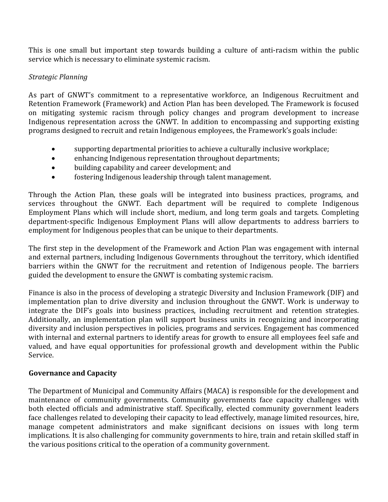This is one small but important step towards building a culture of anti-racism within the public service which is necessary to eliminate systemic racism.

# *Strategic Planning*

As part of GNWT's commitment to a representative workforce, an Indigenous Recruitment and Retention Framework (Framework) and Action Plan has been developed. The Framework is focused on mitigating systemic racism through policy changes and program development to increase Indigenous representation across the GNWT. In addition to encompassing and supporting existing programs designed to recruit and retain Indigenous employees, the Framework's goals include:

- supporting departmental priorities to achieve a culturally inclusive workplace;
- enhancing Indigenous representation throughout departments;
- building capability and career development; and
- fostering Indigenous leadership through talent management.

Through the Action Plan, these goals will be integrated into business practices, programs, and services throughout the GNWT. Each department will be required to complete Indigenous Employment Plans which will include short, medium, and long term goals and targets. Completing department-specific Indigenous Employment Plans will allow departments to address barriers to employment for Indigenous peoples that can be unique to their departments.

The first step in the development of the Framework and Action Plan was engagement with internal and external partners, including Indigenous Governments throughout the territory, which identified barriers within the GNWT for the recruitment and retention of Indigenous people. The barriers guided the development to ensure the GNWT is combating systemic racism.

Finance is also in the process of developing a strategic Diversity and Inclusion Framework (DIF) and implementation plan to drive diversity and inclusion throughout the GNWT. Work is underway to integrate the DIF's goals into business practices, including recruitment and retention strategies. Additionally, an implementation plan will support business units in recognizing and incorporating diversity and inclusion perspectives in policies, programs and services. Engagement has commenced with internal and external partners to identify areas for growth to ensure all employees feel safe and valued, and have equal opportunities for professional growth and development within the Public Service.

#### **Governance and Capacity**

The Department of Municipal and Community Affairs (MACA) is responsible for the development and maintenance of community governments. Community governments face capacity challenges with both elected officials and administrative staff. Specifically, elected community government leaders face challenges related to developing their capacity to lead effectively, manage limited resources, hire, manage competent administrators and make significant decisions on issues with long term implications. It is also challenging for community governments to hire, train and retain skilled staff in the various positions critical to the operation of a community government.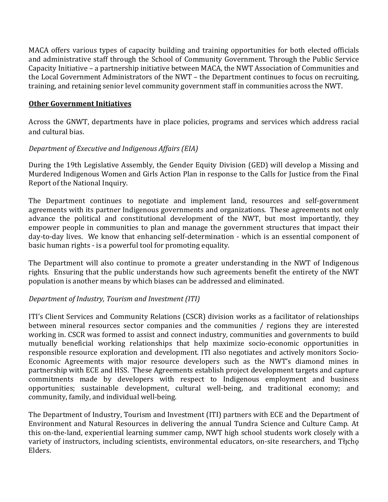MACA offers various types of capacity building and training opportunities for both elected officials and administrative staff through the School of Community Government. Through the Public Service Capacity Initiative – a partnership initiative between MACA, the NWT Association of Communities and the Local Government Administrators of the NWT – the Department continues to focus on recruiting, training, and retaining senior level community government staff in communities across the NWT.

### **Other Government Initiatives**

Across the GNWT, departments have in place policies, programs and services which address racial and cultural bias.

### *Department of Executive and Indigenous Affairs (EIA)*

During the 19th Legislative Assembly, the Gender Equity Division (GED) will develop a Missing and Murdered Indigenous Women and Girls Action Plan in response to the Calls for Justice from the Final Report of the National Inquiry.

The Department continues to negotiate and implement land, resources and self-government agreements with its partner Indigenous governments and organizations. These agreements not only advance the political and constitutional development of the NWT, but most importantly, they empower people in communities to plan and manage the government structures that impact their day-to-day lives. We know that enhancing self-determination - which is an essential component of basic human rights - is a powerful tool for promoting equality.

The Department will also continue to promote a greater understanding in the NWT of Indigenous rights. Ensuring that the public understands how such agreements benefit the entirety of the NWT population is another means by which biases can be addressed and eliminated.

#### *Department of Industry, Tourism and Investment (ITI)*

ITI's Client Services and Community Relations (CSCR) division works as a facilitator of relationships between mineral resources sector companies and the communities / regions they are interested working in. CSCR was formed to assist and connect industry, communities and governments to build mutually beneficial working relationships that help maximize socio-economic opportunities in responsible resource exploration and development. ITI also negotiates and actively monitors Socio-Economic Agreements with major resource developers such as the NWT's diamond mines in partnership with ECE and HSS. These Agreements establish project development targets and capture commitments made by developers with respect to Indigenous employment and business opportunities; sustainable development, cultural well-being, and traditional economy; and community, family, and individual well-being.

The Department of Industry, Tourism and Investment (ITI) partners with ECE and the Department of Environment and Natural Resources in delivering the annual Tundra Science and Culture Camp. At this on-the-land, experiential learning summer camp, NWT high school students work closely with a variety of instructors, including scientists, environmental educators, on-site researchers, and Tłįcho Elders.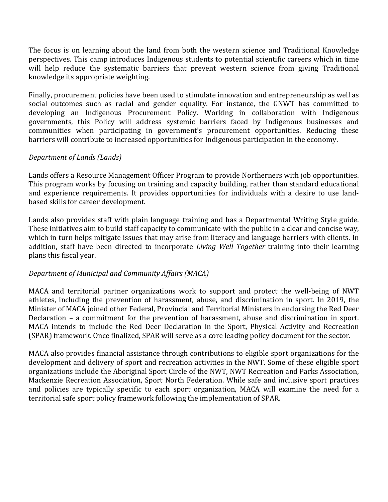The focus is on learning about the land from both the western science and Traditional Knowledge perspectives. This camp introduces Indigenous students to potential scientific careers which in time will help reduce the systematic barriers that prevent western science from giving Traditional knowledge its appropriate weighting.

Finally, procurement policies have been used to stimulate innovation and entrepreneurship as well as social outcomes such as racial and gender equality. For instance, the GNWT has committed to developing an Indigenous Procurement Policy. Working in collaboration with Indigenous governments, this Policy will address systemic barriers faced by Indigenous businesses and communities when participating in government's procurement opportunities. Reducing these barriers will contribute to increased opportunities for Indigenous participation in the economy.

# *Department of Lands (Lands)*

Lands offers a Resource Management Officer Program to provide Northerners with job opportunities. This program works by focusing on training and capacity building, rather than standard educational and experience requirements. It provides opportunities for individuals with a desire to use landbased skills for career development.

Lands also provides staff with plain language training and has a Departmental Writing Style guide. These initiatives aim to build staff capacity to communicate with the public in a clear and concise way, which in turn helps mitigate issues that may arise from literacy and language barriers with clients. In addition, staff have been directed to incorporate *Living Well Together* training into their learning plans this fiscal year.

# *Department of Municipal and Community Affairs (MACA)*

MACA and territorial partner organizations work to support and protect the well-being of NWT athletes, including the prevention of harassment, abuse, and discrimination in sport. In 2019, the Minister of MACA joined other Federal, Provincial and Territorial Ministers in endorsing the Red Deer Declaration – a commitment for the prevention of harassment, abuse and discrimination in sport. MACA intends to include the Red Deer Declaration in the Sport, Physical Activity and Recreation (SPAR) framework. Once finalized, SPAR will serve as a core leading policy document for the sector.

MACA also provides financial assistance through contributions to eligible sport organizations for the development and delivery of sport and recreation activities in the NWT. Some of these eligible sport organizations include the Aboriginal Sport Circle of the NWT, NWT Recreation and Parks Association, Mackenzie Recreation Association, Sport North Federation. While safe and inclusive sport practices and policies are typically specific to each sport organization, MACA will examine the need for a territorial safe sport policy framework following the implementation of SPAR.